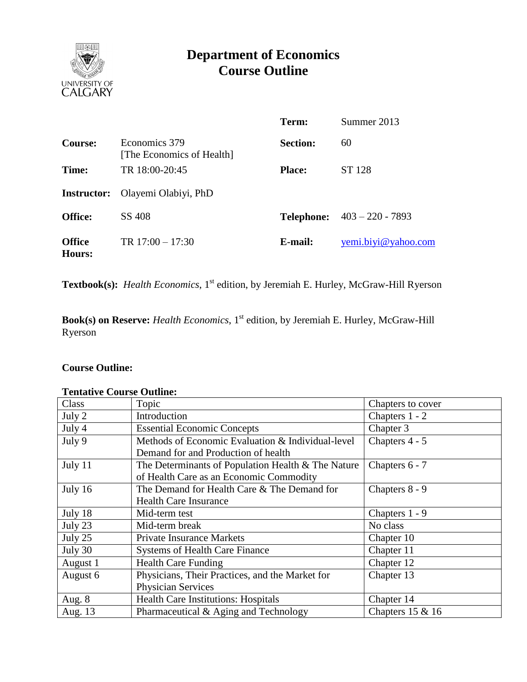

# **Department of Economics Course Outline**

|                         |                                            | Term:           | Summer 2013                          |
|-------------------------|--------------------------------------------|-----------------|--------------------------------------|
| <b>Course:</b>          | Economics 379<br>[The Economics of Health] | <b>Section:</b> | 60                                   |
| Time:                   | TR 18:00-20:45                             | <b>Place:</b>   | ST 128                               |
|                         | <b>Instructor:</b> Olayemi Olabiyi, PhD    |                 |                                      |
| <b>Office:</b>          | SS 408                                     |                 | <b>Telephone:</b> $403 - 220 - 7893$ |
| <b>Office</b><br>Hours: | TR $17:00 - 17:30$                         | E-mail:         | yemi.biyi@yahoo.com                  |

Textbook(s): *Health Economics*, 1<sup>st</sup> edition, by Jeremiah E. Hurley, McGraw-Hill Ryerson

**Book(s) on Reserve:** *Health Economics*, 1<sup>st</sup> edition, by Jeremiah E. Hurley, McGraw-Hill Ryerson

## **Course Outline:**

#### **Tentative Course Outline:**

| Class     | Topic                                              | Chapters to cover   |  |  |  |
|-----------|----------------------------------------------------|---------------------|--|--|--|
| July 2    | Introduction                                       | Chapters 1 - 2      |  |  |  |
| July 4    | <b>Essential Economic Concepts</b>                 | Chapter 3           |  |  |  |
| July 9    | Methods of Economic Evaluation & Individual-level  | Chapters 4 - 5      |  |  |  |
|           | Demand for and Production of health                |                     |  |  |  |
| July 11   | The Determinants of Population Health & The Nature | Chapters 6 - 7      |  |  |  |
|           | of Health Care as an Economic Commodity            |                     |  |  |  |
| July 16   | The Demand for Health Care & The Demand for        | Chapters 8 - 9      |  |  |  |
|           | <b>Health Care Insurance</b>                       |                     |  |  |  |
| July 18   | Mid-term test                                      | Chapters 1 - 9      |  |  |  |
| July 23   | Mid-term break                                     | No class            |  |  |  |
| July $25$ | <b>Private Insurance Markets</b>                   | Chapter 10          |  |  |  |
| July 30   | <b>Systems of Health Care Finance</b>              | Chapter 11          |  |  |  |
| August 1  | <b>Health Care Funding</b>                         | Chapter 12          |  |  |  |
| August 6  | Physicians, Their Practices, and the Market for    | Chapter 13          |  |  |  |
|           | <b>Physician Services</b>                          |                     |  |  |  |
| Aug. 8    | <b>Health Care Institutions: Hospitals</b>         | Chapter 14          |  |  |  |
| Aug. 13   | Pharmaceutical & Aging and Technology              | Chapters $15 \& 16$ |  |  |  |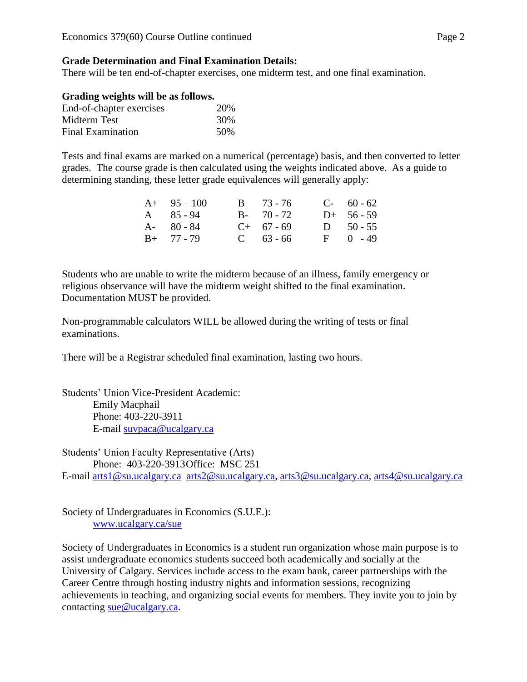#### **Grade Determination and Final Examination Details:**

There will be ten end-of-chapter exercises, one midterm test, and one final examination.

| Grading weights will be as follows. |     |
|-------------------------------------|-----|
| End-of-chapter exercises            | 20% |

| Line-01-Chapter CACTCRCS | $\angle$ 0.70 |
|--------------------------|---------------|
| Midterm Test             | 30%           |
| <b>Final Examination</b> | .50%          |

Tests and final exams are marked on a numerical (percentage) basis, and then converted to letter grades. The course grade is then calculated using the weights indicated above. As a guide to determining standing, these letter grade equivalences will generally apply:

| $A+ 95-100$       | $B = 73 - 76$ | $C-60-62$    |
|-------------------|---------------|--------------|
| $A \quad 85 - 94$ | $B - 70 - 72$ | $D+ 56-59$   |
| $A - 80 - 84$     | $C+ 67 - 69$  | D $50 - 55$  |
| $B+ 77 - 79$      | $C = 63 - 66$ | $F = 0 - 49$ |

Students who are unable to write the midterm because of an illness, family emergency or religious observance will have the midterm weight shifted to the final examination. Documentation MUST be provided.

Non-programmable calculators WILL be allowed during the writing of tests or final examinations.

There will be a Registrar scheduled final examination, lasting two hours.

Students' Union Vice-President Academic: Emily Macphail Phone: 403-220-3911 E-mail [suvpaca@ucalgary.ca](mailto:subpaca@ucalgary.ca)

Students' Union Faculty Representative (Arts) Phone: 403-220-3913Office: MSC 251 E-mail [arts1@su.ucalgary.ca](mailto:arts1@su.ucalgary.ca) [arts2@su.ucalgary.ca,](mailto:arts2@su.ucalgary.ca) [arts3@su.ucalgary.ca,](mailto:arts3@su.ucalgary.ca) [arts4@su.ucalgary.ca](mailto:arts4@su.ucalgary.ca)

Society of Undergraduates in Economics (S.U.E.):

[www.ucalgary.ca/sue](http://www.fp.ucalgary.ca/econ)

Society of Undergraduates in Economics is a student run organization whose main purpose is to assist undergraduate economics students succeed both academically and socially at the University of Calgary. Services include access to the exam bank, career partnerships with the Career Centre through hosting industry nights and information sessions, recognizing achievements in teaching, and organizing social events for members. They invite you to join by contacting [sue@ucalgary.ca.](mailto:sue@ucalgary.ca)